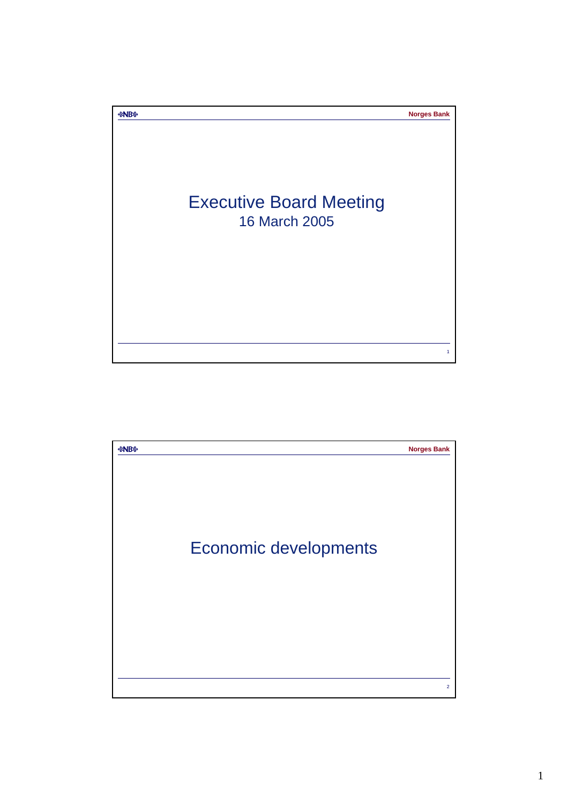

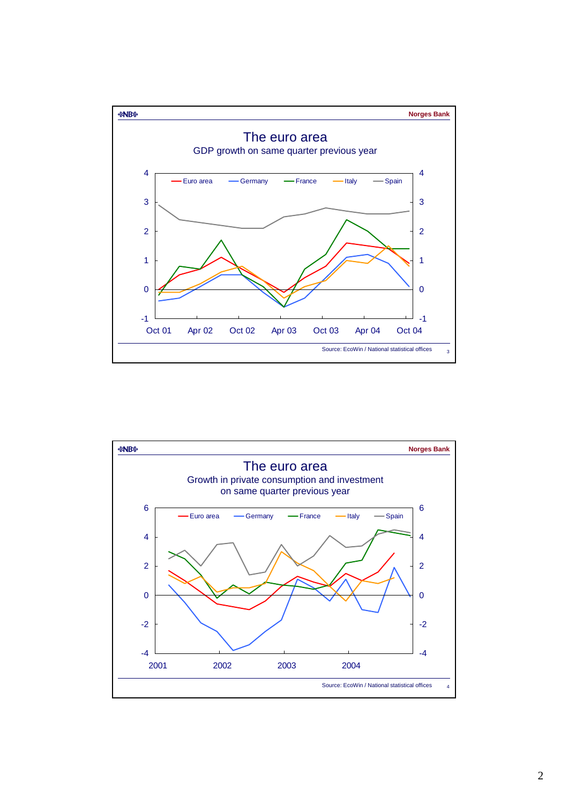

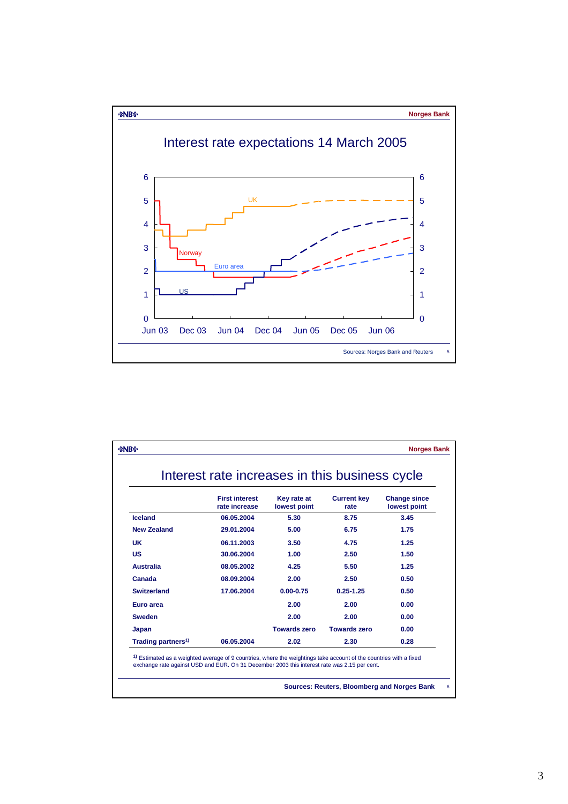

|                                |                                        | Interest rate increases in this business cycle |                            |                                     |
|--------------------------------|----------------------------------------|------------------------------------------------|----------------------------|-------------------------------------|
|                                | <b>First interest</b><br>rate increase | Key rate at<br>lowest point                    | <b>Current key</b><br>rate | <b>Change since</b><br>lowest point |
| Iceland                        | 06.05.2004                             | 5.30                                           | 8.75                       | 3.45                                |
| <b>New Zealand</b>             | 29.01.2004                             | 5.00                                           | 6.75                       | 1.75                                |
| <b>UK</b>                      | 06.11.2003                             | 3.50                                           | 4.75                       | 1.25                                |
| <b>US</b>                      | 30.06.2004                             | 1.00                                           | 2.50                       | 1.50                                |
| <b>Australia</b>               | 08.05.2002                             | 4.25                                           | 5.50                       | 1.25                                |
| Canada                         | 08.09.2004                             | 2.00                                           | 2.50                       | 0.50                                |
| <b>Switzerland</b>             | 17.06.2004                             | $0.00 - 0.75$                                  | $0.25 - 1.25$              | 0.50                                |
| Euro area                      |                                        | 2.00                                           | 2.00                       | 0.00                                |
| <b>Sweden</b>                  |                                        | 2.00                                           | 2.00                       | 0.00                                |
| Japan                          |                                        | <b>Towards zero</b>                            | <b>Towards zero</b>        | 0.00                                |
| Trading partners <sup>1)</sup> | 06.05.2004                             | 2.02                                           | 2.30                       | 0.28                                |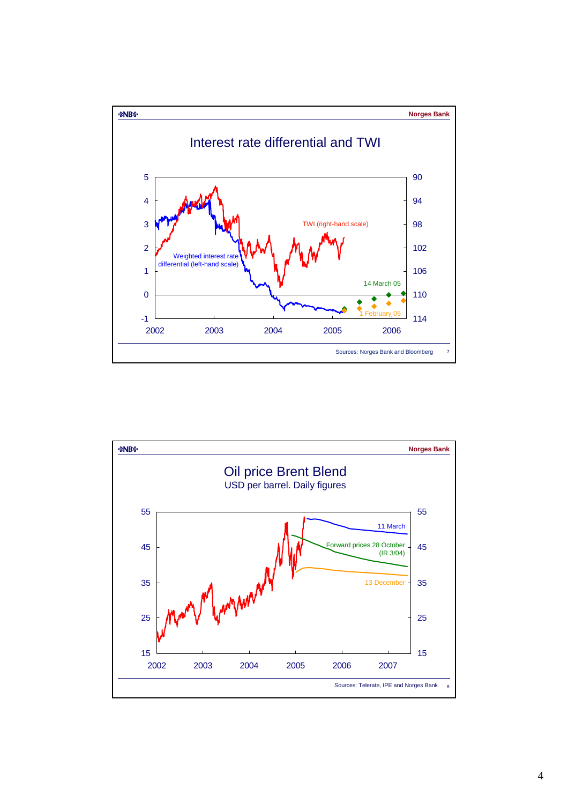

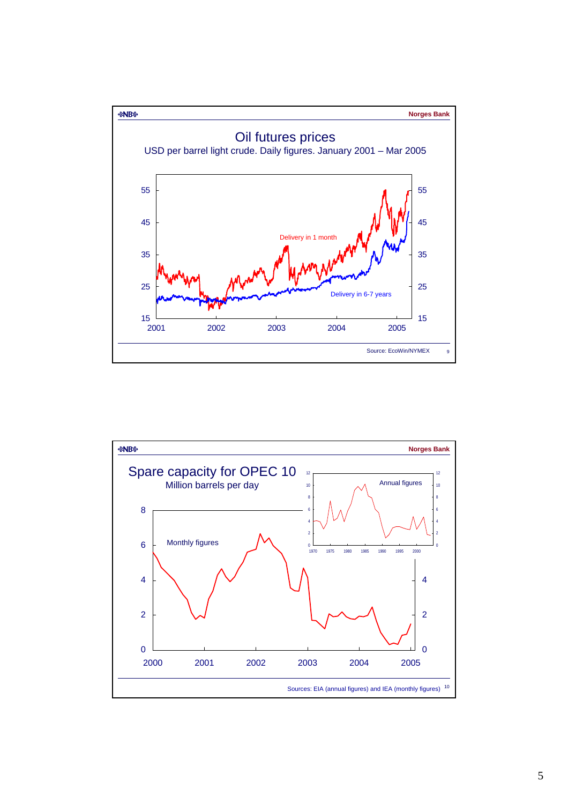

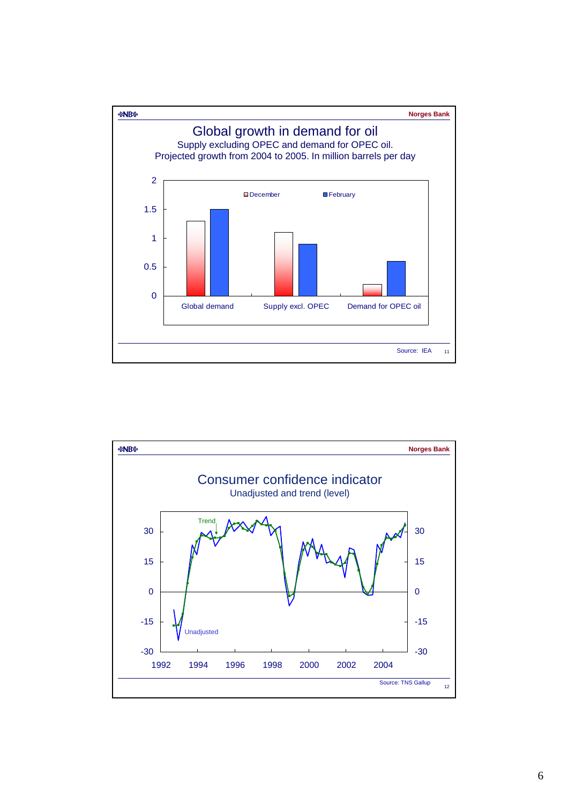

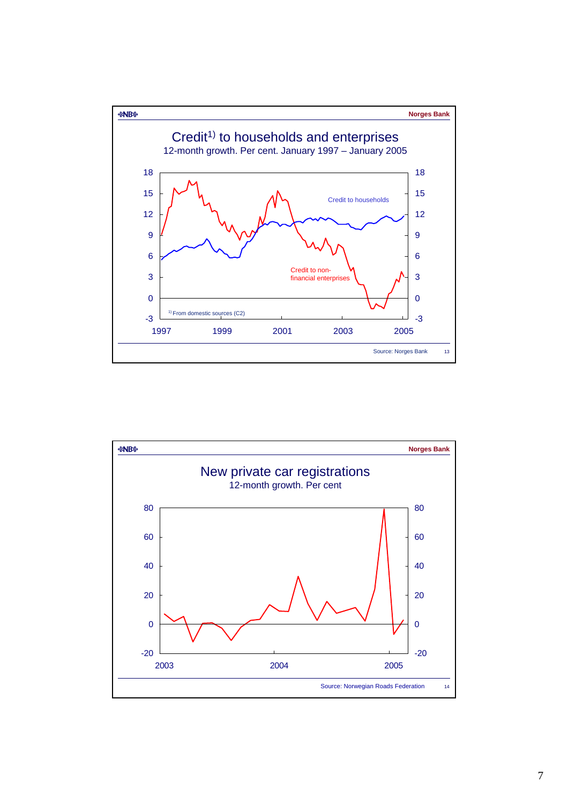

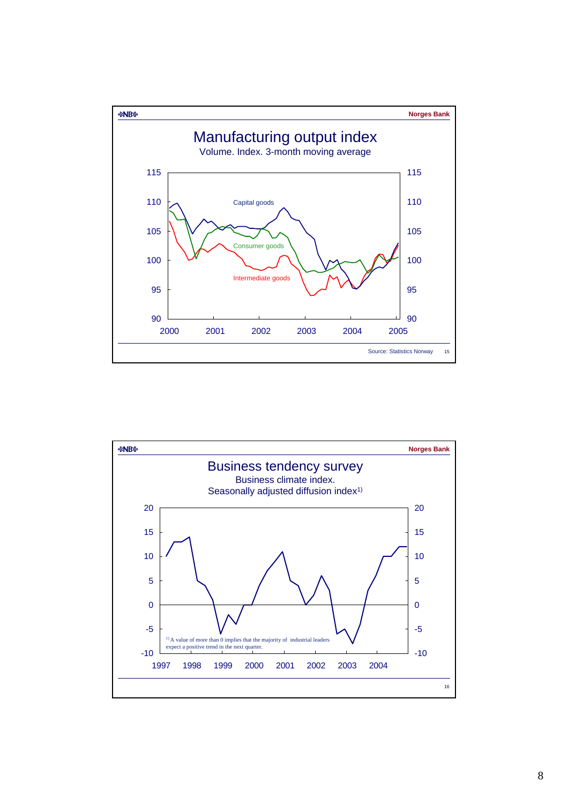

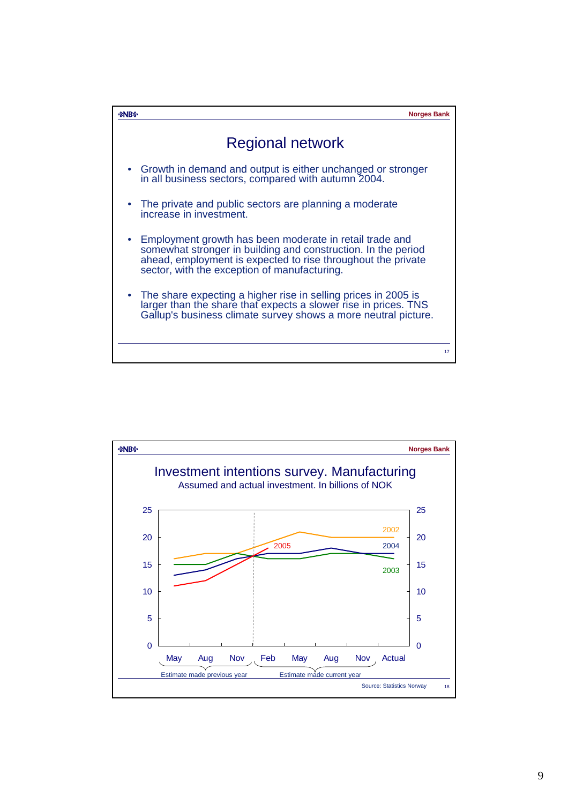

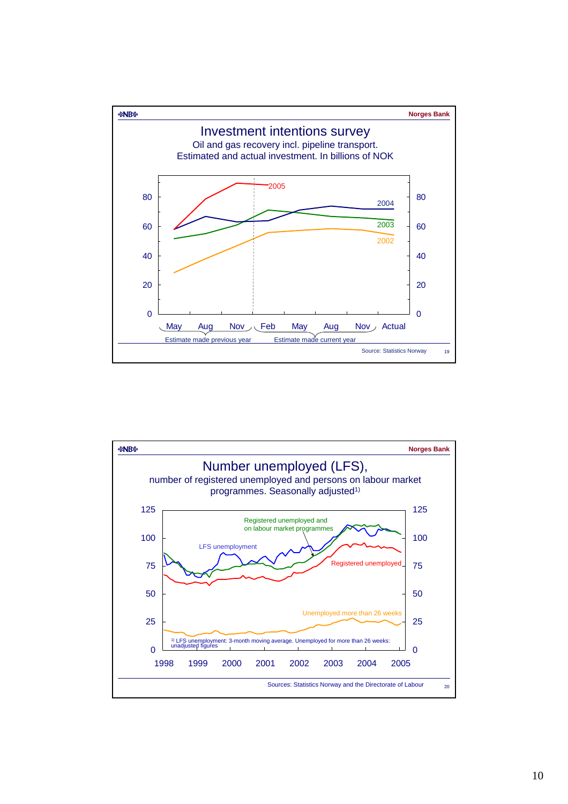

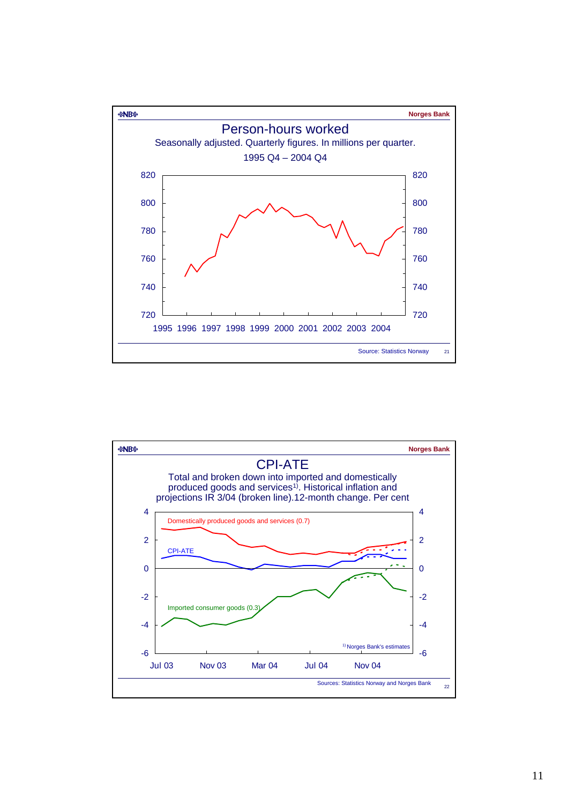

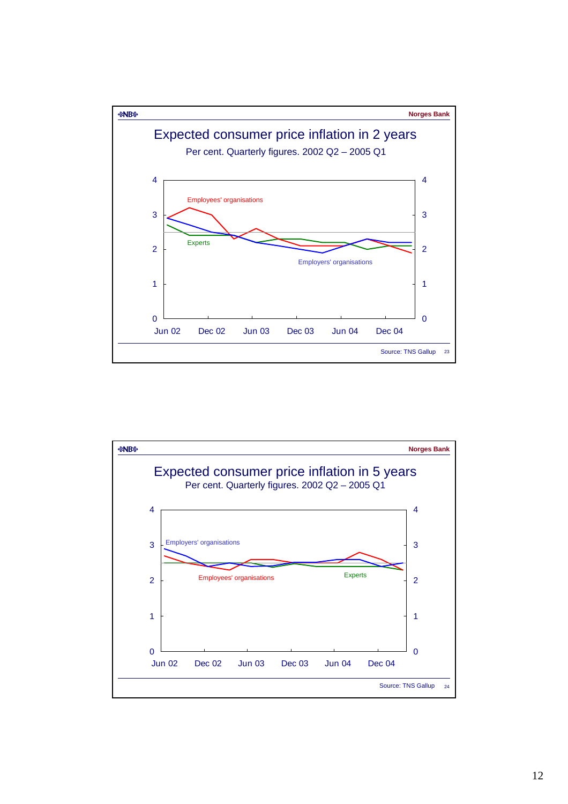

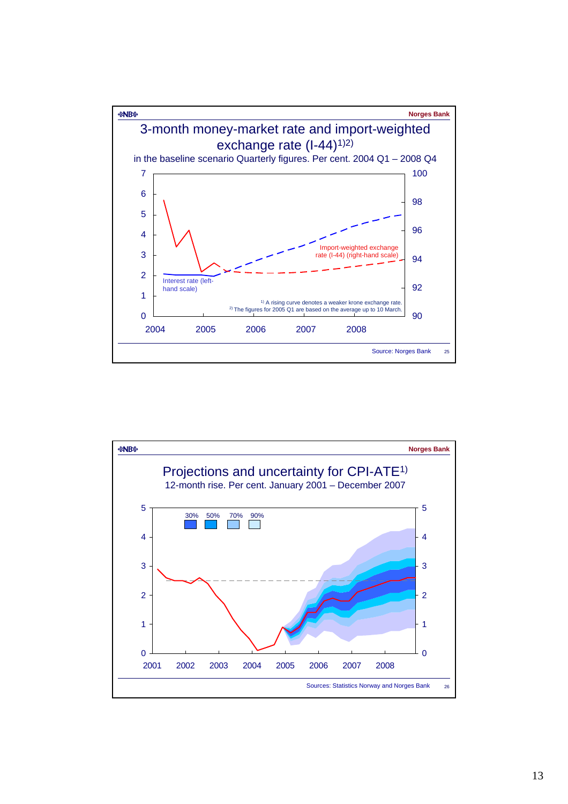

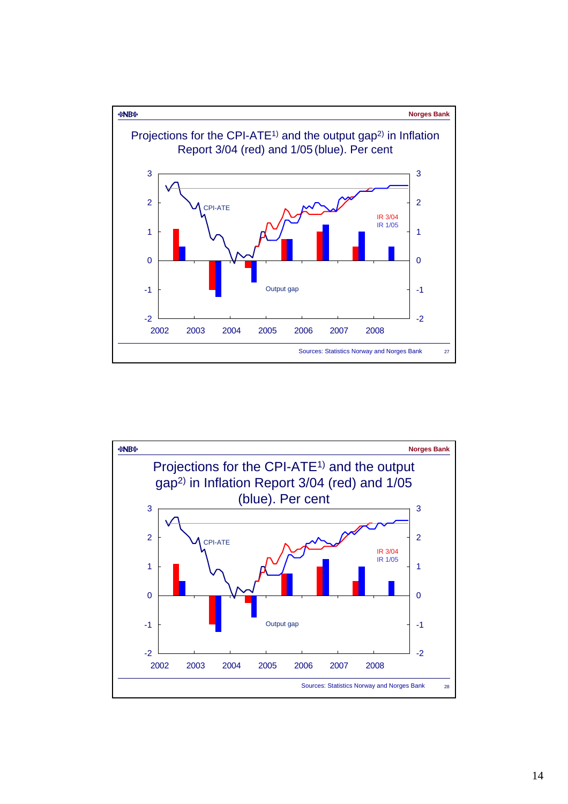